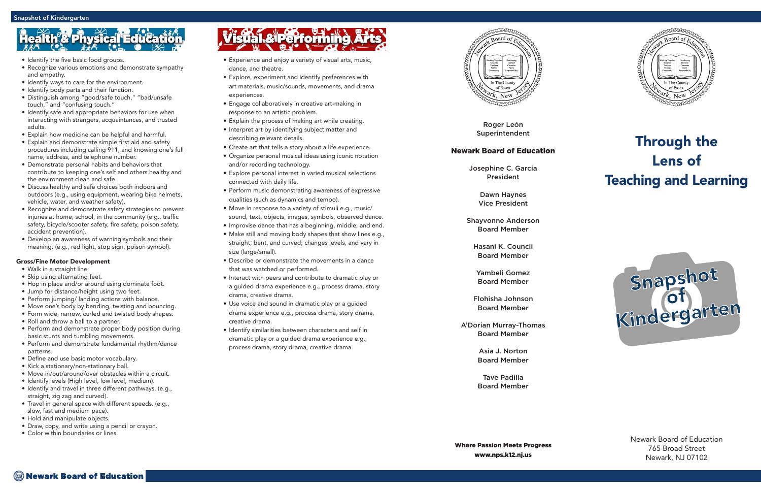Roger León Superintendent

### Newark Board of Education

Josephine C. Garcia President

> Dawn Haynes Vice President

Shayvonne Anderson Board Member

Hasani K. Council Board Member

Yambeli Gomez Board Member

Flohisha Johnson Board Member

A'Dorian Murray-Thomas Board Member

> Asia J. Norton Board Member

> Tave Padilla Board Member



### Through the Lens of Teaching and Learning

Newark Board of Education 765 Broad Street Newark, NJ 07102

- Experience and enjoy a variety of visual arts, music, dance, and theatre.
- Explore, experiment and identify preferences with art materials, music/sounds, movements, and drama experiences.
- Engage collaboratively in creative art-making in response to an artistic problem.
- Explain the process of making art while creating.
- Interpret art by identifying subject matter and describing relevant details.
- Create art that tells a story about a life experience.
- Organize personal musical ideas using iconic notation and/or recording technology.
- Explore personal interest in varied musical selections connected with daily life.
- Perform music demonstrating awareness of expressive qualities (such as dynamics and tempo).
- Move in response to a variety of stimuli e.g., music/ sound, text, objects, images, symbols, observed dance.
- Improvise dance that has a beginning, middle, and end.
- Make still and moving body shapes that show lines e.g., straight, bent, and curved; changes levels, and vary in size (large/small).
- Describe or demonstrate the movements in a dance that was watched or performed.
- Interact with peers and contribute to dramatic play or a guided drama experience e.g., process drama, story drama, creative drama.
- Use voice and sound in dramatic play or a guided drama experience e.g., process drama, story drama, creative drama.
- Identify similarities between characters and self in dramatic play or a guided drama experience e.g., process drama, story drama, creative drama.



# **Physical Edu**

- Identify the five basic food groups.
- Recognize various emotions and demonstrate sympathy and empathy.
- Identify ways to care for the environment.
- Identify body parts and their function.
- Distinguish among "good/safe touch," "bad/unsafe touch," and "confusing touch."
- Identify safe and appropriate behaviors for use when interacting with strangers, acquaintances, and trusted adults.
- Explain how medicine can be helpful and harmful.
- Explain and demonstrate simple first aid and safety procedures including calling 911, and knowing one's full name, address, and telephone number.
- Demonstrate personal habits and behaviors that contribute to keeping one's self and others healthy and the environment clean and safe.
- Discuss healthy and safe choices both indoors and outdoors (e.g., using equipment, wearing bike helmets, vehicle, water, and weather safety).
- Recognize and demonstrate safety strategies to prevent injuries at home, school, in the community (e.g., traffic safety, bicycle/scooter safety, fire safety, poison safety, accident prevention).
- Develop an awareness of warning symbols and their meaning. (e.g., red light, stop sign, poison symbol).

#### Gross/Fine Motor Development

- Walk in a straight line.
- Skip using alternating feet.
- Hop in place and/or around using dominate foot.
- Jump for distance/height using two feet.
- Perform jumping/ landing actions with balance.
- Move one's body by bending, twisting and bouncing.
- Form wide, narrow, curled and twisted body shapes.
- Roll and throw a ball to a partner.
- Perform and demonstrate proper body position during basic stunts and tumbling movements.
- Perform and demonstrate fundamental rhythm/dance patterns.
- Define and use basic motor vocabulary.
- Kick a stationary/non-stationary ball.
- Move in/out/around/over obstacles within a circuit.
- Identify levels (High level, low level, medium).
- Identify and travel in three different pathways. (e.g., straight, zig zag and curved).
- Travel in general space with different speeds. (e.g., slow, fast and medium pace).
- Hold and manipulate objects.
- Draw, copy, and write using a pencil or crayon.
- Color within boundaries or lines.

# Visual & Performing